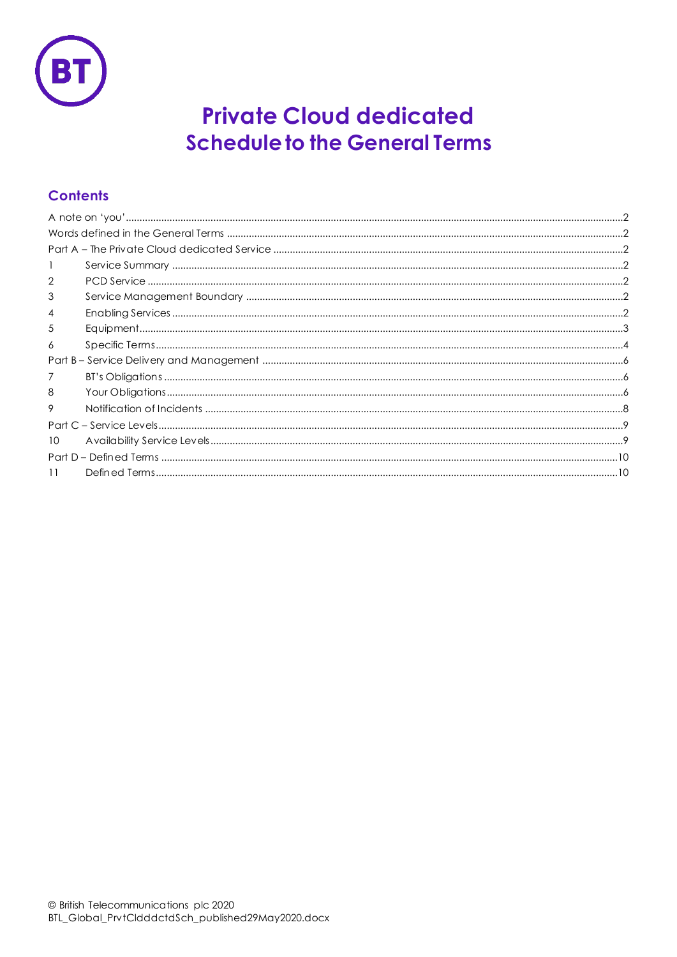

# **Private Cloud dedicated Schedule to the General Terms**

## **Contents**

| 2              |  |  |
|----------------|--|--|
| 3              |  |  |
| $\overline{4}$ |  |  |
| 5              |  |  |
| 6              |  |  |
|                |  |  |
| 7              |  |  |
| 8              |  |  |
| 9              |  |  |
|                |  |  |
| 10             |  |  |
|                |  |  |
| 11             |  |  |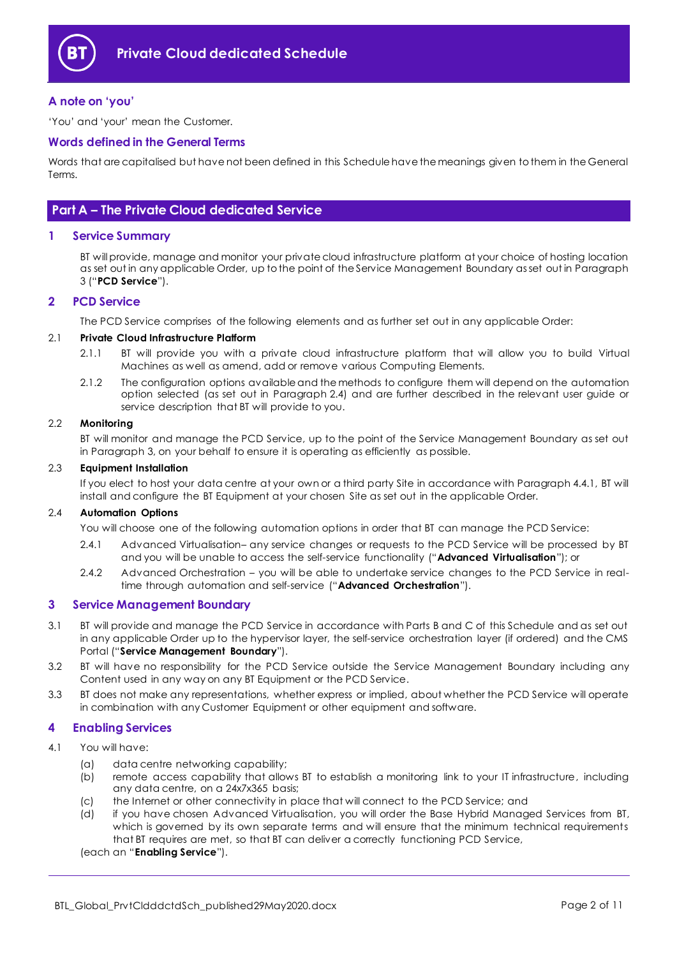

## <span id="page-1-0"></span>**A note on 'you'**

'You' and 'your' mean the Customer.

#### <span id="page-1-1"></span>**Words defined in the General Terms**

Words that are capitalised but have not been defined in this Schedule have the meanings given to them in the General Terms.

## <span id="page-1-2"></span>**Part A – The Private Cloud dedicated Service**

#### <span id="page-1-3"></span>**1 Service Summary**

BT will provide, manage and monitor your private cloud infrastructure platform at your choice of hosting location as set out in any applicable Order, up to the point of the Service Management Boundary as set out in Paragraph [3](#page-1-5) ("**PCD Service**").

### <span id="page-1-4"></span>**2 PCD Service**

The PCD Service comprises of the following elements and as further set out in any applicable Order:

#### 2.1 **Private Cloud Infrastructure Platform**

- 2.1.1 BT will provide you with a private cloud infrastructure platform that will allow you to build Virtual Machines as well as amend, add or remove various Computing Elements.
- 2.1.2 The configuration options available and the methods to configure them will depend on the automation option selected (as set out in Paragraph [2.4\)](#page-1-7) and are further described in the relevant user guide or service description that BT will provide to you.

#### 2.2 **Monitoring**

BT will monitor and manage the PCD Service, up to the point of the Service Management Boundary as set out in Paragraph [3,](#page-1-5) on your behalf to ensure it is operating as efficiently as possible.

#### 2.3 **Equipment Installation**

If you elect to host your data centre at your own or a third party Site in accordance with Paragraph [4.4.1,](#page-2-1) BT will install and configure the BT Equipment at your chosen Site as set out in the applicable Order.

#### <span id="page-1-9"></span><span id="page-1-7"></span>2.4 **Automation Options**

You will choose one of the following automation options in order that BT can manage the PCD Service:

- 2.4.1 Advanced Virtualisation– any service changes or requests to the PCD Service will be processed by BT and you will be unable to access the self-service functionality ("**Advanced Virtualisation**"); or
- <span id="page-1-8"></span>2.4.2 Advanced Orchestration – you will be able to undertake service changes to the PCD Service in realtime through automation and self-service ("**Advanced Orchestration**").

#### <span id="page-1-5"></span>**3 Service Management Boundary**

- <span id="page-1-11"></span>3.1 BT will provide and manage the PCD Service in accordance with Parts B and C of this Schedule and as set out in any applicable Order up to the hypervisor layer, the self-service orchestration layer (if ordered) and the CMS Portal ("**Service Management Boundary**").
- 3.2 BT will have no responsibility for the PCD Service outside the Service Management Boundary including any Content used in any way on any BT Equipment or the PCD Service.
- 3.3 BT does not make any representations, whether express or implied, about whether the PCD Service will operate in combination with any Customer Equipment or other equipment and software.

## <span id="page-1-6"></span>**4 Enabling Services**

#### <span id="page-1-10"></span>4.1 You will have:

- (a) data centre networking capability;
- (b) remote access capability that allows BT to establish a monitoring link to your IT infrastructure, including any data centre, on a 24x7x365 basis;
- (c) the Internet or other connectivity in place that will connect to the PCD Service; and
- (d) if you have chosen Advanced Virtualisation, you will order the Base Hybrid Managed Services from BT, which is governed by its own separate terms and will ensure that the minimum technical requirements that BT requires are met, so that BT can deliver a correctly functioning PCD Service,

#### (each an "**Enabling Service**").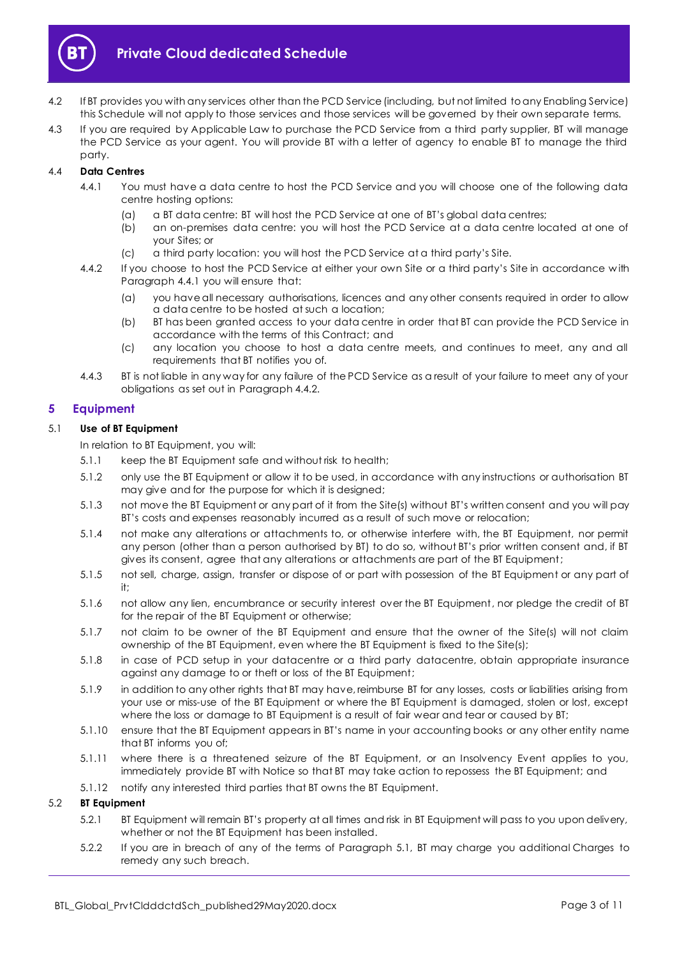

- 4.2 If BT provides you with any services other than the PCD Service (including, but not limited to any Enabling Service) this Schedule will not apply to those services and those services will be governed by their own separate terms.
- 4.3 If you are required by Applicable Law to purchase the PCD Service from a third party supplier, BT will manage the PCD Service as your agent. You will provide BT with a letter of agency to enable BT to manage the third party.

## <span id="page-2-1"></span>4.4 **Data Centres**

- 4.4.1 You must have a data centre to host the PCD Service and you will choose one of the following data centre hosting options:
	- (a) a BT data centre: BT will host the PCD Service at one of BT's global data centres;
	- (b) an on-premises data centre: you will host the PCD Service at a data centre located at one of your Sites; or
	- (c) a third party location: you will host the PCD Service at a third party's Site.
- <span id="page-2-2"></span>4.4.2 If you choose to host the PCD Service at either your own Site or a third party's Site in accordance w ith Paragraph [4.4.1](#page-2-1) you will ensure that:
	- (a) you have all necessary authorisations, licences and any other consents required in order to allow a data centre to be hosted at such a location;
	- (b) BT has been granted access to your data centre in order that BT can provide the PCD Service in accordance with the terms of this Contract; and
	- (c) any location you choose to host a data centre meets, and continues to meet, any and all requirements that BT notifies you of.
- 4.4.3 BT is not liable in any way for any failure of the PCD Service as a result of your failure to meet any of your obligations as set out in Paragrap[h 4.4.2.](#page-2-2)

## <span id="page-2-0"></span>**5 Equipment**

### <span id="page-2-3"></span>5.1 **Use of BT Equipment**

In relation to BT Equipment, you will:

- 5.1.1 keep the BT Equipment safe and without risk to health;
- 5.1.2 only use the BT Equipment or allow it to be used, in accordance with any instructions or authorisation BT may give and for the purpose for which it is designed;
- 5.1.3 not move the BT Equipment or any part of it from the Site(s) without BT's written consent and you will pay BT's costs and expenses reasonably incurred as a result of such move or relocation;
- 5.1.4 not make any alterations or attachments to, or otherwise interfere with, the BT Equipment, nor permit any person (other than a person authorised by BT) to do so, without BT's prior written consent and, if BT gives its consent, agree that any alterations or attachments are part of the BT Equipment;
- 5.1.5 not sell, charge, assign, transfer or dispose of or part with possession of the BT Equipment or any part of it;
- 5.1.6 not allow any lien, encumbrance or security interest over the BT Equipment, nor pledge the credit of BT for the repair of the BT Equipment or otherwise;
- 5.1.7 not claim to be owner of the BT Equipment and ensure that the owner of the Site(s) will not claim ownership of the BT Equipment, even where the BT Equipment is fixed to the Site(s);
- 5.1.8 in case of PCD setup in your datacentre or a third party datacentre, obtain appropriate insurance against any damage to or theft or loss of the BT Equipment;
- 5.1.9 in addition to any other rights that BT may have, reimburse BT for any losses, costs or liabilities arising from your use or miss-use of the BT Equipment or where the BT Equipment is damaged, stolen or lost, except where the loss or damage to BT Equipment is a result of fair wear and tear or caused by BT;
- 5.1.10 ensure that the BT Equipment appears in BT's name in your accounting books or any other entity name that BT informs you of;
- 5.1.11 where there is a threatened seizure of the BT Equipment, or an Insolvency Event applies to you, immediately provide BT with Notice so that BT may take action to repossess the BT Equipment; and
- 5.1.12 notify any interested third parties that BT owns the BT Equipment.

## 5.2 **BT Equipment**

- 5.2.1 BT Equipment will remain BT's property at all times and risk in BT Equipment will pass to you upon delivery, whether or not the BT Equipment has been installed.
- 5.2.2 If you are in breach of any of the terms of Paragraph [5.1,](#page-2-3) BT may charge you additional Charges to remedy any such breach.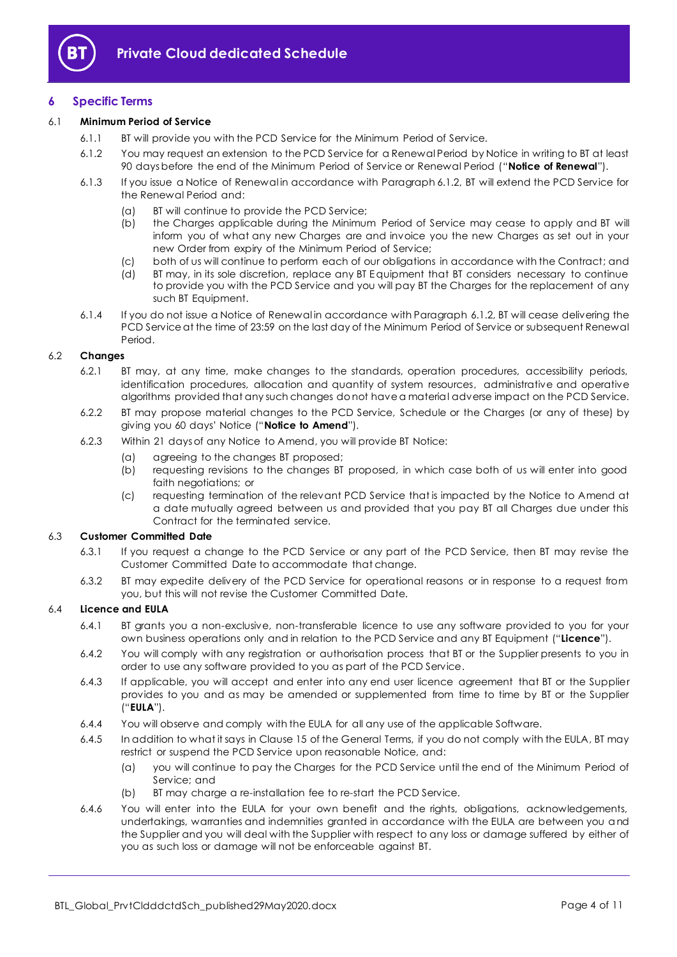

## <span id="page-3-0"></span>**6 Specific Terms**

#### <span id="page-3-1"></span>6.1 **Minimum Period of Service**

- 6.1.1 BT will provide you with the PCD Service for the Minimum Period of Service.
- 6.1.2 You may request an extension to the PCD Service for a Renewal Period by Notice in writing to BT at least 90 days before the end of the Minimum Period of Service or Renewal Period ("**Notice of Renewal**").
- 6.1.3 If you issue a Notice of Renewal in accordance with Paragrap[h 6.1.2,](#page-3-1) BT will extend the PCD Service for the Renewal Period and:
	- (a) BT will continue to provide the PCD Service;
	- (b) the Charges applicable during the Minimum Period of Service may cease to apply and BT will inform you of what any new Charges are and invoice you the new Charges as set out in your new Order from expiry of the Minimum Period of Service;
	- (c) both of us will continue to perform each of our obligations in accordance with the Contract; and
	- (d) BT may, in its sole discretion, replace any BT Equipment that BT considers necessary to continue to provide you with the PCD Service and you will pay BT the Charges for the replacement of any such BT Equipment.
- <span id="page-3-4"></span>6.1.4 If you do not issue a Notice of Renewal in accordance with Paragraph [6.1.2,](#page-3-1) BT will cease delivering the PCD Service at the time of 23:59 on the last day of the Minimum Period of Service or subsequent Renewal Period.

#### 6.2 **Changes**

- 6.2.1 BT may, at any time, make changes to the standards, operation procedures, accessibility periods, identification procedures, allocation and quantity of system resources, administrative and operative algorithms provided that any such changes do not have a material adverse impact on the PCD Service.
- <span id="page-3-5"></span>6.2.2 BT may propose material changes to the PCD Service, Schedule or the Charges (or any of these) by giving you 60 days' Notice ("**Notice to Amend**").
- 6.2.3 Within 21 days of any Notice to Amend, you will provide BT Notice:
	- (a) agreeing to the changes BT proposed;
	- (b) requesting revisions to the changes BT proposed, in which case both of us will enter into good faith negotiations; or
	- (c) requesting termination of the relevant PCD Service that is impacted by the Notice to Amend at a date mutually agreed between us and provided that you pay BT all Charges due under this Contract for the terminated service.

#### 6.3 **Customer Committed Date**

- 6.3.1 If you request a change to the PCD Service or any part of the PCD Service, then BT may revise the Customer Committed Date to accommodate that change.
- 6.3.2 BT may expedite delivery of the PCD Service for operational reasons or in response to a request from you, but this will not revise the Customer Committed Date.

#### <span id="page-3-3"></span>6.4 **Licence and EULA**

- 6.4.1 BT grants you a non-exclusive, non-transferable licence to use any software provided to you for your own business operations only and in relation to the PCD Service and any BT Equipment ("**Licence**").
- 6.4.2 You will comply with any registration or authorisation process that BT or the Supplier presents to you in order to use any software provided to you as part of the PCD Service.
- <span id="page-3-2"></span>6.4.3 If applicable, you will accept and enter into any end user licence agreement that BT or the Supplier provides to you and as may be amended or supplemented from time to time by BT or the Supplier ("**EULA**").
- 6.4.4 You will observe and comply with the EULA for all any use of the applicable Software.
- 6.4.5 In addition to what it says in Clause 15 of the General Terms, if you do not comply with the EULA, BT may restrict or suspend the PCD Service upon reasonable Notice, and:
	- (a) you will continue to pay the Charges for the PCD Service until the end of the Minimum Period of Service; and
	- (b) BT may charge a re-installation fee to re-start the PCD Service.
- 6.4.6 You will enter into the EULA for your own benefit and the rights, obligations, acknowledgements, undertakings, warranties and indemnities granted in accordance with the EULA are between you and the Supplier and you will deal with the Supplier with respect to any loss or damage suffered by either of you as such loss or damage will not be enforceable against BT.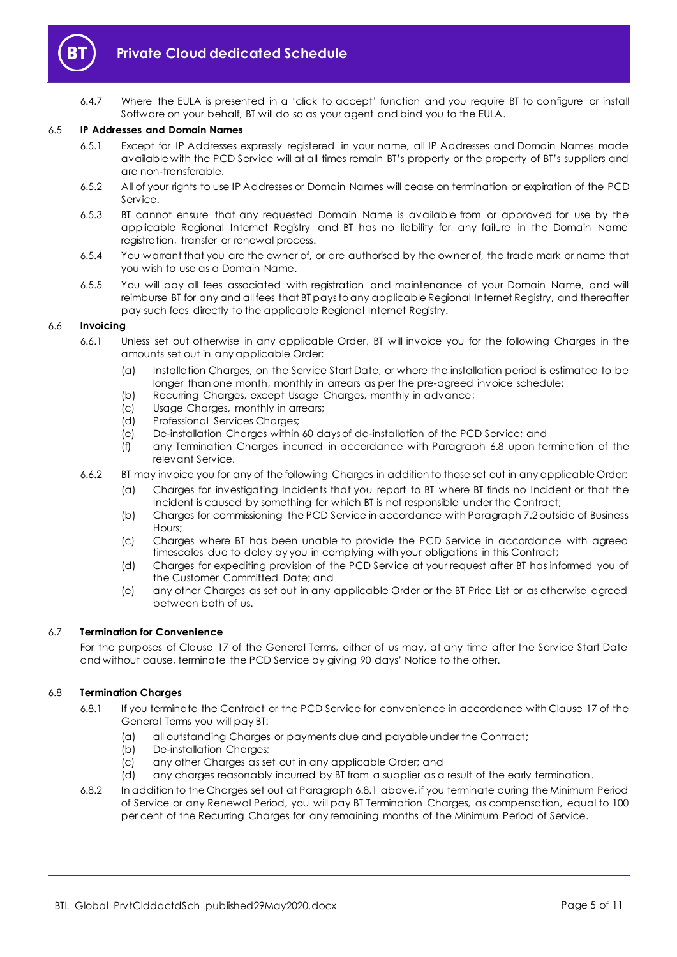

6.4.7 Where the EULA is presented in a 'click to accept' function and you require BT to configure or install Software on your behalf, BT will do so as your agent and bind you to the EULA.

#### 6.5 **IP Addresses and Domain Names**

- 6.5.1 Except for IP Addresses expressly registered in your name, all IP Addresses and Domain Names made available with the PCD Service will at all times remain BT's property or the property of BT's suppliers and are non-transferable.
- 6.5.2 All of your rights to use IP Addresses or Domain Names will cease on termination or expiration of the PCD Service.
- 6.5.3 BT cannot ensure that any requested Domain Name is available from or approved for use by the applicable Regional Internet Registry and BT has no liability for any failure in the Domain Name registration, transfer or renewal process.
- 6.5.4 You warrant that you are the owner of, or are authorised by the owner of, the trade mark or name that you wish to use as a Domain Name.
- 6.5.5 You will pay all fees associated with registration and maintenance of your Domain Name, and will reimburse BT for any and all fees that BT pays to any applicable Regional Internet Registry, and thereafter pay such fees directly to the applicable Regional Internet Registry.

#### 6.6 **Invoicing**

- 6.6.1 Unless set out otherwise in any applicable Order, BT will invoice you for the following Charges in the amounts set out in any applicable Order:
	- (a) Installation Charges, on the Service Start Date, or where the installation period is estimated to be longer than one month, monthly in arrears as per the pre-agreed invoice schedule;
	- (b) Recurring Charges, except Usage Charges, monthly in advance;
	- (c) Usage Charges, monthly in arrears;
	- (d) Professional Services Charges;
	- (e) De-installation Charges within 60 days of de-installation of the PCD Service; and
	- (f) any Termination Charges incurred in accordance with Paragraph [6.8](#page-4-0) upon termination of the relevant Service.
- 6.6.2 BT may invoice you for any of the following Charges in addition to those set out in any applicable Order:
	- (a) Charges for investigating Incidents that you report to BT where BT finds no Incident or that the Incident is caused by something for which BT is not responsible under the Contract;
	- (b) Charges for commissioning the PCD Service in accordance with Paragrap[h 7.2](#page-5-3) outside of Business Hours;
	- (c) Charges where BT has been unable to provide the PCD Service in accordance with agreed timescales due to delay by you in complying with your obligations in this Contract;
	- (d) Charges for expediting provision of the PCD Service at your request after BT has informed you of the Customer Committed Date; and
	- (e) any other Charges as set out in any applicable Order or the BT Price List or as otherwise agreed between both of us.

#### 6.7 **Termination for Convenience**

For the purposes of Clause 17 of the General Terms, either of us may, at any time after the Service Start Date and without cause, terminate the PCD Service by giving 90 days' Notice to the other.

#### <span id="page-4-1"></span><span id="page-4-0"></span>6.8 **Termination Charges**

- 6.8.1 If you terminate the Contract or the PCD Service for convenience in accordance with Clause 17 of the General Terms you will pay BT:
	- (a) all outstanding Charges or payments due and payable under the Contract;
	- (b) De-installation Charges;
	- (c) any other Charges as set out in any applicable Order; and
	- (d) any charges reasonably incurred by BT from a supplier as a result of the early termination.
- 6.8.2 In addition to the Charges set out at Paragrap[h 6.8.1](#page-4-1) above, if you terminate during the Minimum Period of Service or any Renewal Period, you will pay BT Termination Charges, as compensation, equal to 100 per cent of the Recurring Charges for any remaining months of the Minimum Period of Service.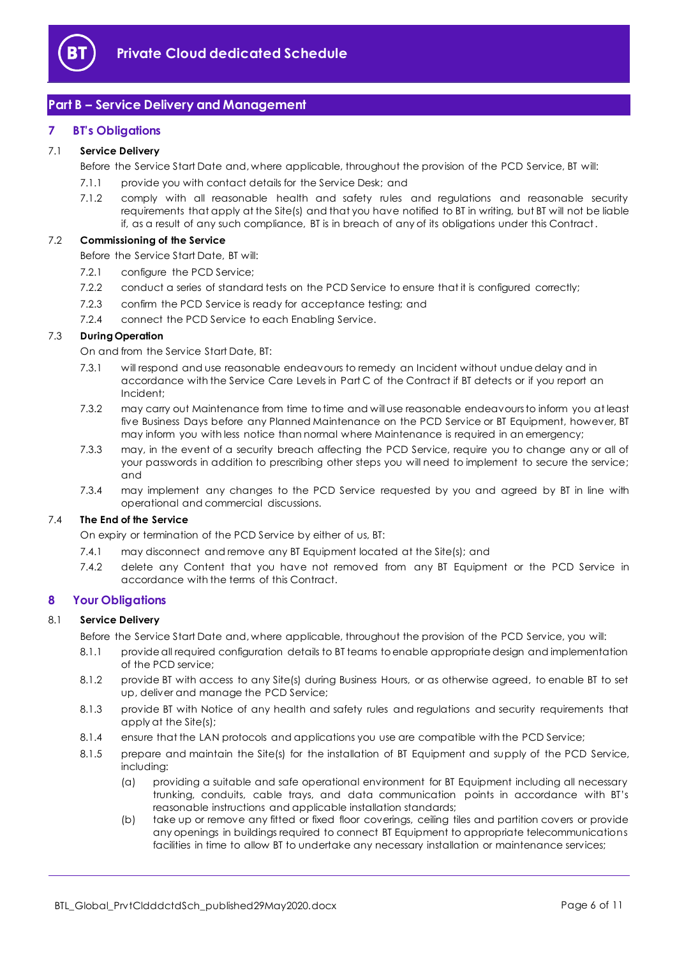

## <span id="page-5-0"></span>**Part B – Service Delivery and Management**

## <span id="page-5-1"></span>**7 BT's Obligations**

#### 7.1 **Service Delivery**

Before the Service Start Date and, where applicable, throughout the provision of the PCD Service, BT will:

- 7.1.1 provide you with contact details for the Service Desk; and
- 7.1.2 comply with all reasonable health and safety rules and regulations and reasonable security requirements that apply at the Site(s) and that you have notified to BT in writing, but BT will not be liable if, as a result of any such compliance, BT is in breach of any of its obligations under this Contract.

#### <span id="page-5-3"></span>7.2 **Commissioning of the Service**

Before the Service Start Date, BT will:

- 7.2.1 configure the PCD Service:
- 7.2.2 conduct a series of standard tests on the PCD Service to ensure that it is configured correctly;
- <span id="page-5-4"></span>7.2.3 confirm the PCD Service is ready for acceptance testing; and
- 7.2.4 connect the PCD Service to each Enabling Service.

## <span id="page-5-5"></span>7.3 **During Operation**

On and from the Service Start Date, BT:

- 7.3.1 will respond and use reasonable endeavours to remedy an Incident without undue delay and in accordance with the Service Care Levels in Part C of the Contract if BT detects or if you report an Incident;
- 7.3.2 may carry out Maintenance from time to time and will use reasonable endeavours to inform you at least five Business Days before any Planned Maintenance on the PCD Service or BT Equipment, however, BT may inform you with less notice than normal where Maintenance is required in an emergency;
- 7.3.3 may, in the event of a security breach affecting the PCD Service, require you to change any or all of your passwords in addition to prescribing other steps you will need to implement to secure the service; and
- 7.3.4 may implement any changes to the PCD Service requested by you and agreed by BT in line with operational and commercial discussions.

#### 7.4 **The End of the Service**

On expiry or termination of the PCD Service by either of us, BT:

- 7.4.1 may disconnect and remove any BT Equipment located at the Site(s); and
- 7.4.2 delete any Content that you have not removed from any BT Equipment or the PCD Service in accordance with the terms of this Contract.

#### <span id="page-5-2"></span>**8 Your Obligations**

#### 8.1 **Service Delivery**

- Before the Service Start Date and, where applicable, throughout the provision of the PCD Service, you will:
- 8.1.1 provide all required configuration details to BT teams to enable appropriate design and implementation of the PCD service;
- 8.1.2 provide BT with access to any Site(s) during Business Hours, or as otherwise agreed, to enable BT to set up, deliver and manage the PCD Service;
- 8.1.3 provide BT with Notice of any health and safety rules and regulations and security requirements that apply at the Site(s);
- 8.1.4 ensure that the LAN protocols and applications you use are compatible with the PCD Service;
- 8.1.5 prepare and maintain the Site(s) for the installation of BT Equipment and supply of the PCD Service, including:
	- (a) providing a suitable and safe operational environment for BT Equipment including all necessary trunking, conduits, cable trays, and data communication points in accordance with BT's reasonable instructions and applicable installation standards;
	- (b) take up or remove any fitted or fixed floor coverings, ceiling tiles and partition covers or provide any openings in buildings required to connect BT Equipment to appropriate telecommunications facilities in time to allow BT to undertake any necessary installation or maintenance services;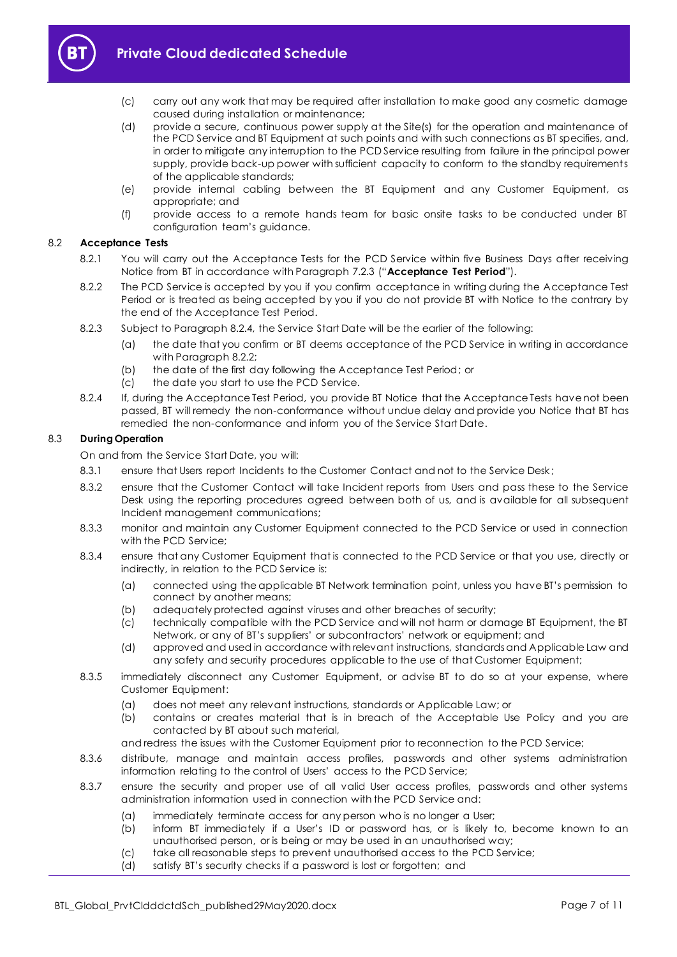

- (c) carry out any work that may be required after installation to make good any cosmetic damage caused during installation or maintenance;
- (d) provide a secure, continuous power supply at the Site(s) for the operation and maintenance of the PCD Service and BT Equipment at such points and with such connections as BT specifies, and, in order to mitigate any interruption to the PCD Service resulting from failure in the principal power supply, provide back-up power with sufficient capacity to conform to the standby requirements of the applicable standards;
- (e) provide internal cabling between the BT Equipment and any Customer Equipment, as appropriate; and
- (f) provide access to a remote hands team for basic onsite tasks to be conducted under BT configuration team's guidance.

### <span id="page-6-2"></span>8.2 **Acceptance Tests**

- 8.2.1 You will carry out the Acceptance Tests for the PCD Service within five Business Days after receiving Notice from BT in accordance with Paragraph [7.2.3](#page-5-4) ("**Acceptance Test Period**").
- <span id="page-6-1"></span>8.2.2 The PCD Service is accepted by you if you confirm acceptance in writing during the Acceptance Test Period or is treated as being accepted by you if you do not provide BT with Notice to the contrary by the end of the Acceptance Test Period.
- 8.2.3 Subject to Paragraph [8.2.4,](#page-6-0) the Service Start Date will be the earlier of the following:
	- (a) the date that you confirm or BT deems acceptance of the PCD Service in writing in accordance with Paragraph [8.2.2;](#page-6-1)
	- (b) the date of the first day following the Acceptance Test Period; or
	- (c) the date you start to use the PCD Service.
- <span id="page-6-0"></span>8.2.4 If, during the Acceptance Test Period, you provide BT Notice that the Acceptance Tests have not been passed, BT will remedy the non-conformance without undue delay and provide you Notice that BT has remedied the non-conformance and inform you of the Service Start Date.

#### 8.3 **During Operation**

On and from the Service Start Date, you will:

- 8.3.1 ensure that Users report Incidents to the Customer Contact and not to the Service Desk;
- 8.3.2 ensure that the Customer Contact will take Incident reports from Users and pass these to the Service Desk using the reporting procedures agreed between both of us, and is available for all subsequent Incident management communications;
- 8.3.3 monitor and maintain any Customer Equipment connected to the PCD Service or used in connection with the PCD Service;
- 8.3.4 ensure that any Customer Equipment that is connected to the PCD Service or that you use, directly or indirectly, in relation to the PCD Service is:
	- (a) connected using the applicable BT Network termination point, unless you have BT's permission to connect by another means;
	- (b) adequately protected against viruses and other breaches of security;
	- (c) technically compatible with the PCD Service and will not harm or damage BT Equipment, the BT Network, or any of BT's suppliers' or subcontractors' network or equipment; and
	- (d) approved and used in accordance with relevant instructions, standards and Applicable Law and any safety and security procedures applicable to the use of that Customer Equipment;
- 8.3.5 immediately disconnect any Customer Equipment, or advise BT to do so at your expense, where Customer Equipment:
	- (a) does not meet any relevant instructions, standards or Applicable Law; or
	- (b) contains or creates material that is in breach of the Acceptable Use Policy and you are contacted by BT about such material,

and redress the issues with the Customer Equipment prior to reconnection to the PCD Service;

- 8.3.6 distribute, manage and maintain access profiles, passwords and other systems administration information relating to the control of Users' access to the PCD Service;
- 8.3.7 ensure the security and proper use of all valid User access profiles, passwords and other systems administration information used in connection with the PCD Service and:
	- (a) immediately terminate access for any person who is no longer a User;
	- (b) inform BT immediately if a User's ID or password has, or is likely to, become known to an unauthorised person, or is being or may be used in an unauthorised way;
	- (c) take all reasonable steps to prevent unauthorised access to the PCD Service;
	- (d) satisfy BT's security checks if a password is lost or forgotten; and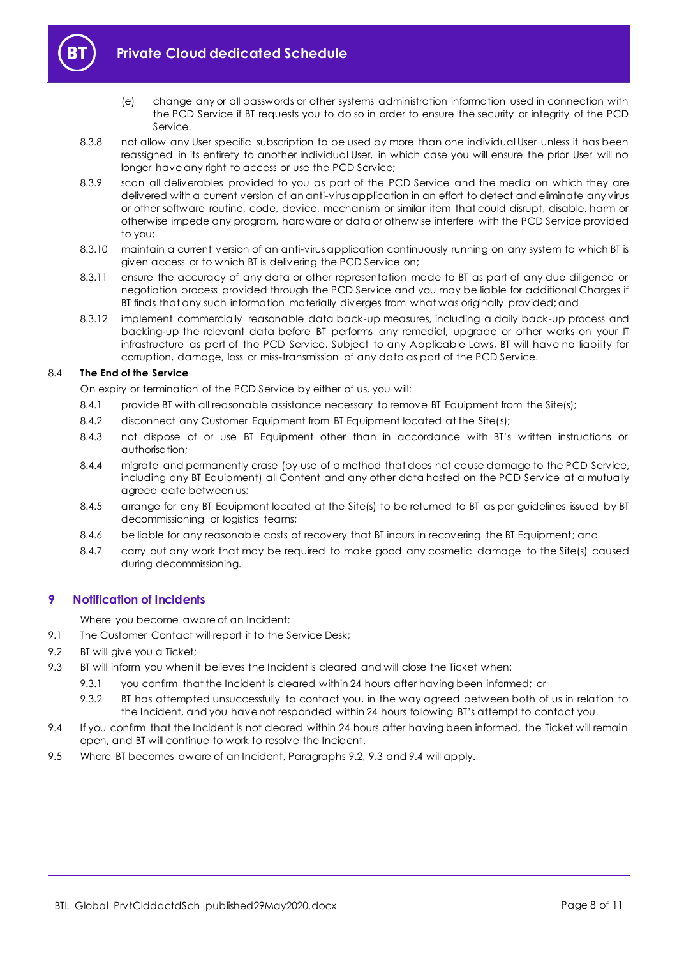

- (e) change any or all passwords or other systems administration information used in connection with the PCD Service if BT requests you to do so in order to ensure the security or integrity of the PCD Service.
- 8.3.8 not allow any User specific subscription to be used by more than one individual User unless it has been reassigned in its entirety to another individual User, in which case you will ensure the prior User will no longer have any right to access or use the PCD Service;
- 8.3.9 scan all deliverables provided to you as part of the PCD Service and the media on which they are delivered with a current version of an anti-virus application in an effort to detect and eliminate any virus or other software routine, code, device, mechanism or similar item that could disrupt, disable, harm or otherwise impede any program, hardware or data or otherwise interfere with the PCD Service provided to you;
- 8.3.10 maintain a current version of an anti-virus application continuously running on any system to which BT is given access or to which BT is delivering the PCD Service on;
- 8.3.11 ensure the accuracy of any data or other representation made to BT as part of any due diligence or negotiation process provided through the PCD Service and you may be liable for additional Charges if BT finds that any such information materially diverges from what was originally provided; and
- 8.3.12 implement commercially reasonable data back-up measures, including a daily back-up process and backing-up the relevant data before BT performs any remedial, upgrade or other works on your IT infrastructure as part of the PCD Service. Subject to any Applicable Laws, BT will have no liability for corruption, damage, loss or miss-transmission of any data as part of the PCD Service.

#### 8.4 **The End of the Service**

On expiry or termination of the PCD Service by either of us, you will:

- 8.4.1 provide BT with all reasonable assistance necessary to remove BT Equipment from the Site(s);
- 8.4.2 disconnect any Customer Equipment from BT Equipment located at the Site(s);
- 8.4.3 not dispose of or use BT Equipment other than in accordance with BT's written instructions or authorisation;
- 8.4.4 migrate and permanently erase (by use of a method that does not cause damage to the PCD Service, including any BT Equipment) all Content and any other data hosted on the PCD Service at a mutually agreed date between us;
- 8.4.5 arrange for any BT Equipment located at the Site(s) to be returned to BT as per guidelines issued by BT decommissioning or logistics teams;
- 8.4.6 be liable for any reasonable costs of recovery that BT incurs in recovering the BT Equipment; and
- 8.4.7 carry out any work that may be required to make good any cosmetic damage to the Site(s) caused during decommissioning.

## <span id="page-7-0"></span>**9 Notification of Incidents**

Where you become aware of an Incident:

- 9.1 The Customer Contact will report it to the Service Desk;
- <span id="page-7-1"></span>9.2 BT will give you a Ticket;
- <span id="page-7-2"></span>9.3 BT will inform you when it believes the Incident is cleared and will close the Ticket when:
	- 9.3.1 you confirm that the Incident is cleared within 24 hours after having been informed; or
	- 9.3.2 BT has attempted unsuccessfully to contact you, in the way agreed between both of us in relation to the Incident, and you have not responded within 24 hours following BT's attempt to contact you.
- <span id="page-7-3"></span>9.4 If you confirm that the Incident is not cleared within 24 hours after having been informed, the Ticket will remain open, and BT will continue to work to resolve the Incident.
- 9.5 Where BT becomes aware of an Incident, Paragraphs [9.2,](#page-7-1) [9.3](#page-7-2) and [9.4](#page-7-3) will apply.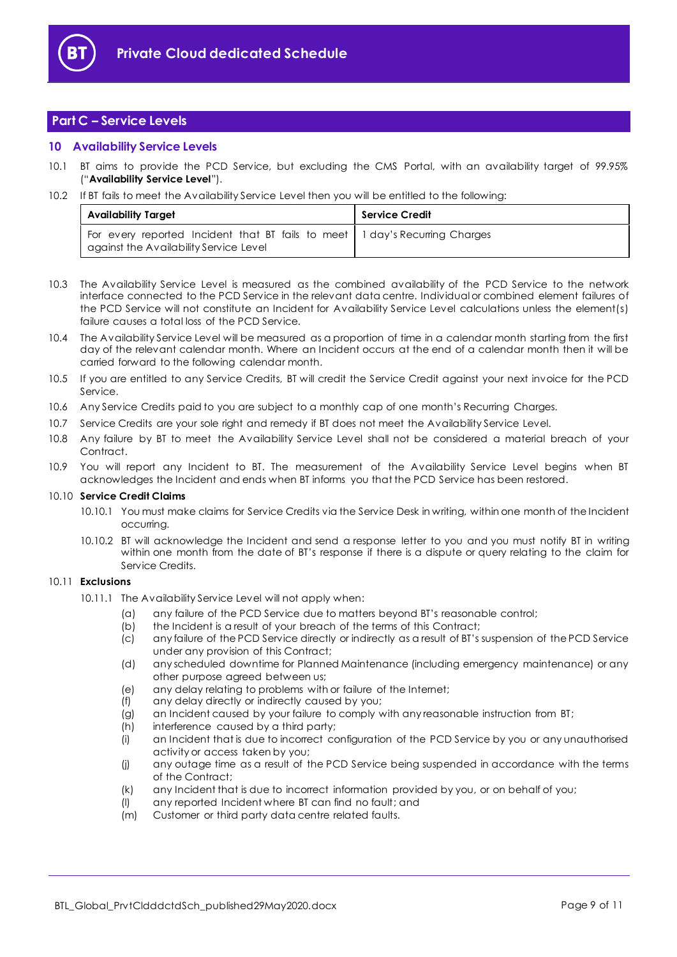

## <span id="page-8-0"></span>**Part C – Service Levels**

## <span id="page-8-1"></span>**10 Availability Service Levels**

- 10.1 BT aims to provide the PCD Service, but excluding the CMS Portal, with an availability target of 99.95% ("**Availability Service Level**").
- 10.2 If BT fails to meet the Availability Service Level then you will be entitled to the following:

| <b>Availability Target</b>                                                                                              | Service Credit |
|-------------------------------------------------------------------------------------------------------------------------|----------------|
| For every reported Incident that BT fails to meet 1 day's Recurring Charges<br>  against the Availability Service Level |                |

- 10.3 The Availability Service Level is measured as the combined availability of the PCD Service to the network interface connected to the PCD Service in the relevant data centre. Individual or combined element failures of the PCD Service will not constitute an Incident for Availability Service Level calculations unless the element(s) failure causes a total loss of the PCD Service.
- 10.4 The Availability Service Level will be measured as a proportion of time in a calendar month starting from the first day of the relevant calendar month. Where an Incident occurs at the end of a calendar month then it will be carried forward to the following calendar month.
- 10.5 If you are entitled to any Service Credits, BT will credit the Service Credit against your next invoice for the PCD Service.
- 10.6 Any Service Credits paid to you are subject to a monthly cap of one month's Recurring Charges.
- 10.7 Service Credits are your sole right and remedy if BT does not meet the Availability Service Level.
- 10.8 Any failure by BT to meet the Availability Service Level shall not be considered a material breach of your Contract.
- 10.9 You will report any Incident to BT. The measurement of the Availability Service Level begins when BT acknowledges the Incident and ends when BT informs you that the PCD Service has been restored.

#### 10.10 **Service Credit Claims**

- 10.10.1 You must make claims for Service Credits via the Service Desk in writing, within one month of the Incident occurring.
- 10.10.2 BT will acknowledge the Incident and send a response letter to you and you must notify BT in writing within one month from the date of BT's response if there is a dispute or query relating to the claim for Service Credits.

## 10.11 **Exclusions**

- 10.11.1 The Availability Service Level will not apply when:
	- (a) any failure of the PCD Service due to matters beyond BT's reasonable control;
	- (b) the Incident is a result of your breach of the terms of this Contract;
	- (c) any failure of the PCD Service directly or indirectly as a result of BT's suspension of the PCD Service under any provision of this Contract;
	- (d) any scheduled downtime for Planned Maintenance (including emergency maintenance) or any other purpose agreed between us;
	- (e) any delay relating to problems with or failure of the Internet;
	- (f) any delay directly or indirectly caused by you;
	- (g) an Incident caused by your failure to comply with any reasonable instruction from BT;
	- (h) interference caused by a third party;
	- (i) an Incident that is due to incorrect configuration of the PCD Service by you or any unauthorised activity or access taken by you;
	- (j) any outage time as a result of the PCD Service being suspended in accordance with the terms of the Contract;
	- (k) any Incident that is due to incorrect information provided by you, or on behalf of you;
	- (l) any reported Incident where BT can find no fault; and
	- (m) Customer or third party data centre related faults.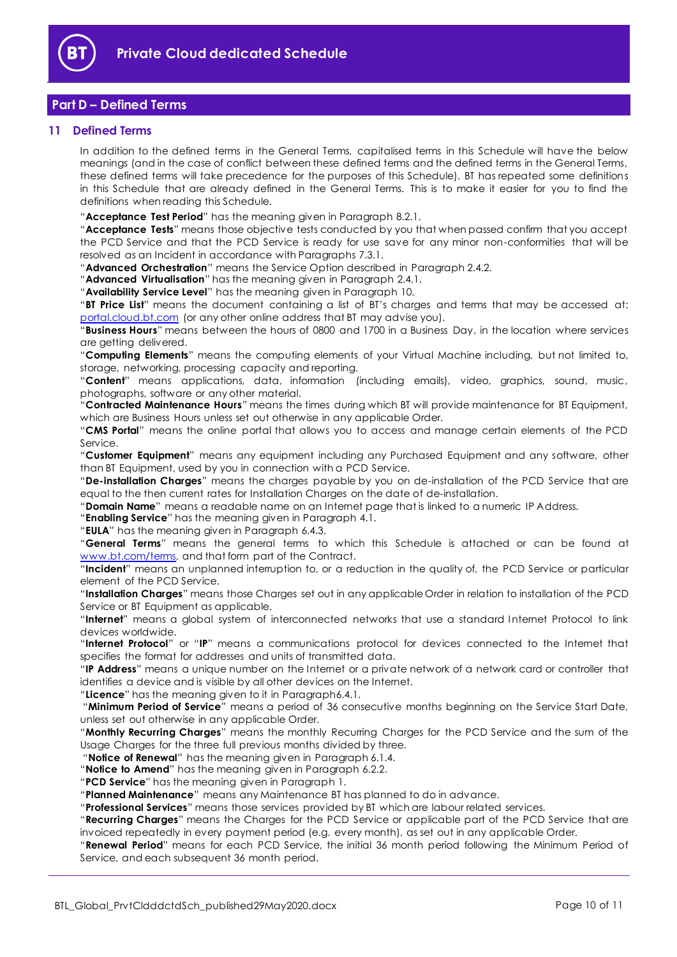

## <span id="page-9-0"></span>**Part D – Defined Terms**

## <span id="page-9-1"></span>**11 Defined Terms**

In addition to the defined terms in the General Terms, capitalised terms in this Schedule will have the below meanings (and in the case of conflict between these defined terms and the defined terms in the General Terms, these defined terms will take precedence for the purposes of this Schedule). BT has repeated some definitions in this Schedule that are already defined in the General Terms. This is to make it easier for you to find the definitions when reading this Schedule.

"**Acceptance Test Period**" has the meaning given in Paragraph [8.2.1.](#page-6-2)

"**Acceptance Tests**" means those objective tests conducted by you that when passed confirm that you accept the PCD Service and that the PCD Service is ready for use save for any minor non-conformities that will be resolved as an Incident in accordance with Paragraphs [7.3.1.](#page-5-5)

"**Advanced Orchestration**" means the Service Option described in Paragraph [2.4.2.](#page-1-8)

"**Advanced Virtualisation**" has the meaning given in Paragraph [2.4.1.](#page-1-9)

"**Availability Service Level**" has the meaning given in Paragraph [10.](#page-8-1)

"**BT Price List**" means the document containing a list of BT's charges and terms that may be accessed at: portal.cloud.bt.com (or any other online address that BT may advise you).

"**Business Hours**" means between the hours of 0800 and 1700 in a Business Day, in the location where services are getting delivered.

"**Computing Elements**" means the computing elements of your Virtual Machine including, but not limited to, storage, networking, processing capacity and reporting.

"**Content**" means applications, data, information (including emails), video, graphics, sound, music, photographs, software or any other material.

"**Contracted Maintenance Hours**" means the times during which BT will provide maintenance for BT Equipment, which are Business Hours unless set out otherwise in any applicable Order.

"**CMS Portal**" means the online portal that allows you to access and manage certain elements of the PCD Service.

"**Customer Equipment**" means any equipment including any Purchased Equipment and any software, other than BT Equipment, used by you in connection with a PCD Service.

"**De-installation Charges**" means the charges payable by you on de-installation of the PCD Service that are equal to the then current rates for Installation Charges on the date of de-installation.

"**Domain Name**" means a readable name on an Internet page that is linked to a numeric IP Address.

"**Enabling Service**" has the meaning given in Paragraph [4.1.](#page-1-10)

"**EULA**" has the meaning given in Paragraph [6.4.3.](#page-3-2)

"**General Terms**" means the general terms to which this Schedule is attached or can be found at [www.bt.com/terms,](http://www.bt.com/terms) and that form part of the Contract.

"**Incident**" means an unplanned interruption to, or a reduction in the quality of, the PCD Service or particular element of the PCD Service.

"**Installation Charges**" means those Charges set out in any applicable Order in relation to installation of the PCD Service or BT Equipment as applicable.

"**Internet**" means a global system of interconnected networks that use a standard Internet Protocol to link devices worldwide.

"**Internet Protocol**" or "**IP**" means a communications protocol for devices connected to the Internet that specifies the format for addresses and units of transmitted data.

"**IP Address**" means a unique number on the Internet or a private network of a network card or controller that identifies a device and is visible by all other devices on the Internet.

"**Licence**" has the meaning given to it in Paragrap[h6.4.1.](#page-3-3)

"**Minimum Period of Service**" means a period of 36 consecutive months beginning on the Service Start Date, unless set out otherwise in any applicable Order.

"**Monthly Recurring Charges**" means the monthly Recurring Charges for the PCD Service and the sum of the Usage Charges for the three full previous months divided by three.

"**Notice of Renewal**" has the meaning given in Paragraph [6.1.4.](#page-3-4)

"**Notice to Amend**" has the meaning given in Paragraph [6.2.2.](#page-3-5)

"**PCD Service**" has the meaning given in Paragraph [1.](#page-1-3)

"**Planned Maintenance**" means any Maintenance BT has planned to do in advance.

"**Professional Services**" means those services provided by BT which are labour related services.

"**Recurring Charges**" means the Charges for the PCD Service or applicable part of the PCD Service that are invoiced repeatedly in every payment period (e.g. every month), as set out in any applicable Order.

"**Renewal Period**" means for each PCD Service, the initial 36 month period following the Minimum Period of Service, and each subsequent 36 month period.